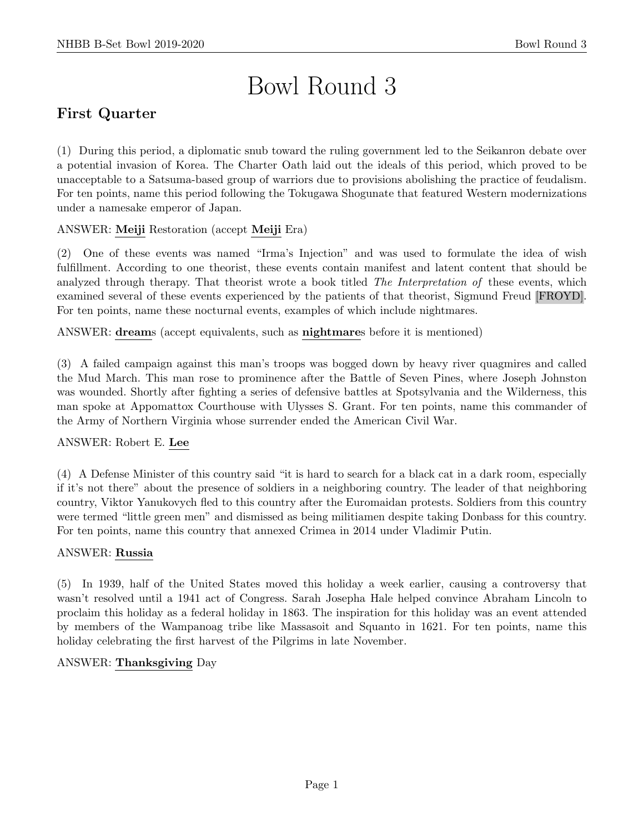# Bowl Round 3

# First Quarter

(1) During this period, a diplomatic snub toward the ruling government led to the Seikanron debate over a potential invasion of Korea. The Charter Oath laid out the ideals of this period, which proved to be unacceptable to a Satsuma-based group of warriors due to provisions abolishing the practice of feudalism. For ten points, name this period following the Tokugawa Shogunate that featured Western modernizations under a namesake emperor of Japan.

# ANSWER: Meiji Restoration (accept Meiji Era)

(2) One of these events was named "Irma's Injection" and was used to formulate the idea of wish fulfillment. According to one theorist, these events contain manifest and latent content that should be analyzed through therapy. That theorist wrote a book titled The Interpretation of these events, which examined several of these events experienced by the patients of that theorist, Sigmund Freud [FROYD]. For ten points, name these nocturnal events, examples of which include nightmares.

ANSWER: dreams (accept equivalents, such as nightmares before it is mentioned)

(3) A failed campaign against this man's troops was bogged down by heavy river quagmires and called the Mud March. This man rose to prominence after the Battle of Seven Pines, where Joseph Johnston was wounded. Shortly after fighting a series of defensive battles at Spotsylvania and the Wilderness, this man spoke at Appomattox Courthouse with Ulysses S. Grant. For ten points, name this commander of the Army of Northern Virginia whose surrender ended the American Civil War.

#### ANSWER: Robert E. Lee

(4) A Defense Minister of this country said "it is hard to search for a black cat in a dark room, especially if it's not there" about the presence of soldiers in a neighboring country. The leader of that neighboring country, Viktor Yanukovych fled to this country after the Euromaidan protests. Soldiers from this country were termed "little green men" and dismissed as being militiamen despite taking Donbass for this country. For ten points, name this country that annexed Crimea in 2014 under Vladimir Putin.

#### ANSWER: Russia

(5) In 1939, half of the United States moved this holiday a week earlier, causing a controversy that wasn't resolved until a 1941 act of Congress. Sarah Josepha Hale helped convince Abraham Lincoln to proclaim this holiday as a federal holiday in 1863. The inspiration for this holiday was an event attended by members of the Wampanoag tribe like Massasoit and Squanto in 1621. For ten points, name this holiday celebrating the first harvest of the Pilgrims in late November.

#### ANSWER: Thanksgiving Day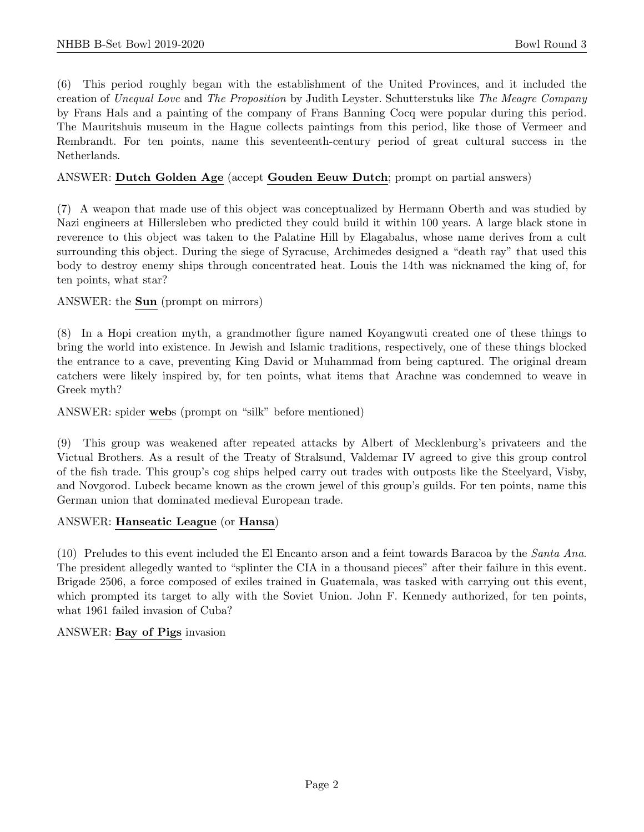(6) This period roughly began with the establishment of the United Provinces, and it included the creation of Unequal Love and The Proposition by Judith Leyster. Schutterstuks like The Meagre Company by Frans Hals and a painting of the company of Frans Banning Cocq were popular during this period. The Mauritshuis museum in the Hague collects paintings from this period, like those of Vermeer and Rembrandt. For ten points, name this seventeenth-century period of great cultural success in the Netherlands.

#### ANSWER: Dutch Golden Age (accept Gouden Eeuw Dutch; prompt on partial answers)

(7) A weapon that made use of this object was conceptualized by Hermann Oberth and was studied by Nazi engineers at Hillersleben who predicted they could build it within 100 years. A large black stone in reverence to this object was taken to the Palatine Hill by Elagabalus, whose name derives from a cult surrounding this object. During the siege of Syracuse, Archimedes designed a "death ray" that used this body to destroy enemy ships through concentrated heat. Louis the 14th was nicknamed the king of, for ten points, what star?

#### ANSWER: the Sun (prompt on mirrors)

(8) In a Hopi creation myth, a grandmother figure named Koyangwuti created one of these things to bring the world into existence. In Jewish and Islamic traditions, respectively, one of these things blocked the entrance to a cave, preventing King David or Muhammad from being captured. The original dream catchers were likely inspired by, for ten points, what items that Arachne was condemned to weave in Greek myth?

ANSWER: spider webs (prompt on "silk" before mentioned)

(9) This group was weakened after repeated attacks by Albert of Mecklenburg's privateers and the Victual Brothers. As a result of the Treaty of Stralsund, Valdemar IV agreed to give this group control of the fish trade. This group's cog ships helped carry out trades with outposts like the Steelyard, Visby, and Novgorod. Lubeck became known as the crown jewel of this group's guilds. For ten points, name this German union that dominated medieval European trade.

#### ANSWER: Hanseatic League (or Hansa)

(10) Preludes to this event included the El Encanto arson and a feint towards Baracoa by the Santa Ana. The president allegedly wanted to "splinter the CIA in a thousand pieces" after their failure in this event. Brigade 2506, a force composed of exiles trained in Guatemala, was tasked with carrying out this event, which prompted its target to ally with the Soviet Union. John F. Kennedy authorized, for ten points, what 1961 failed invasion of Cuba?

#### ANSWER: Bay of Pigs invasion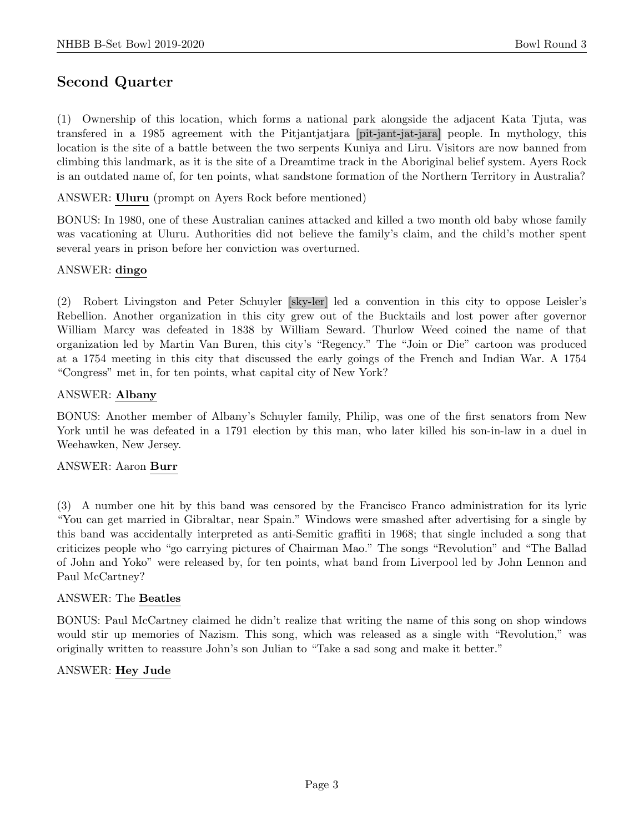# Second Quarter

(1) Ownership of this location, which forms a national park alongside the adjacent Kata Tjuta, was transfered in a 1985 agreement with the Pitjantjatjara [pit-jant-jat-jara] people. In mythology, this location is the site of a battle between the two serpents Kuniya and Liru. Visitors are now banned from climbing this landmark, as it is the site of a Dreamtime track in the Aboriginal belief system. Ayers Rock is an outdated name of, for ten points, what sandstone formation of the Northern Territory in Australia?

ANSWER: Uluru (prompt on Ayers Rock before mentioned)

BONUS: In 1980, one of these Australian canines attacked and killed a two month old baby whose family was vacationing at Uluru. Authorities did not believe the family's claim, and the child's mother spent several years in prison before her conviction was overturned.

#### ANSWER: dingo

(2) Robert Livingston and Peter Schuyler [sky-ler] led a convention in this city to oppose Leisler's Rebellion. Another organization in this city grew out of the Bucktails and lost power after governor William Marcy was defeated in 1838 by William Seward. Thurlow Weed coined the name of that organization led by Martin Van Buren, this city's "Regency." The "Join or Die" cartoon was produced at a 1754 meeting in this city that discussed the early goings of the French and Indian War. A 1754 "Congress" met in, for ten points, what capital city of New York?

#### ANSWER: Albany

BONUS: Another member of Albany's Schuyler family, Philip, was one of the first senators from New York until he was defeated in a 1791 election by this man, who later killed his son-in-law in a duel in Weehawken, New Jersey.

#### ANSWER: Aaron Burr

(3) A number one hit by this band was censored by the Francisco Franco administration for its lyric "You can get married in Gibraltar, near Spain." Windows were smashed after advertising for a single by this band was accidentally interpreted as anti-Semitic graffiti in 1968; that single included a song that criticizes people who "go carrying pictures of Chairman Mao." The songs "Revolution" and "The Ballad of John and Yoko" were released by, for ten points, what band from Liverpool led by John Lennon and Paul McCartney?

#### ANSWER: The Beatles

BONUS: Paul McCartney claimed he didn't realize that writing the name of this song on shop windows would stir up memories of Nazism. This song, which was released as a single with "Revolution," was originally written to reassure John's son Julian to "Take a sad song and make it better."

#### ANSWER: Hey Jude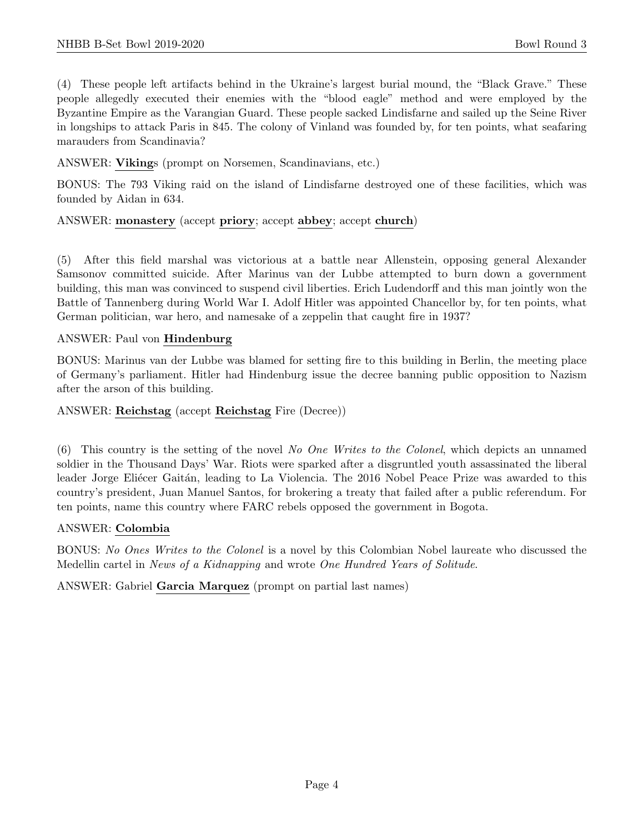(4) These people left artifacts behind in the Ukraine's largest burial mound, the "Black Grave." These people allegedly executed their enemies with the "blood eagle" method and were employed by the Byzantine Empire as the Varangian Guard. These people sacked Lindisfarne and sailed up the Seine River in longships to attack Paris in 845. The colony of Vinland was founded by, for ten points, what seafaring marauders from Scandinavia?

#### ANSWER: Vikings (prompt on Norsemen, Scandinavians, etc.)

BONUS: The 793 Viking raid on the island of Lindisfarne destroyed one of these facilities, which was founded by Aidan in 634.

#### ANSWER: monastery (accept priory; accept abbey; accept church)

(5) After this field marshal was victorious at a battle near Allenstein, opposing general Alexander Samsonov committed suicide. After Marinus van der Lubbe attempted to burn down a government building, this man was convinced to suspend civil liberties. Erich Ludendorff and this man jointly won the Battle of Tannenberg during World War I. Adolf Hitler was appointed Chancellor by, for ten points, what German politician, war hero, and namesake of a zeppelin that caught fire in 1937?

#### ANSWER: Paul von Hindenburg

BONUS: Marinus van der Lubbe was blamed for setting fire to this building in Berlin, the meeting place of Germany's parliament. Hitler had Hindenburg issue the decree banning public opposition to Nazism after the arson of this building.

#### ANSWER: Reichstag (accept Reichstag Fire (Decree))

(6) This country is the setting of the novel No One Writes to the Colonel, which depicts an unnamed soldier in the Thousand Days' War. Riots were sparked after a disgruntled youth assassinated the liberal leader Jorge Eliécer Gaitán, leading to La Violencia. The 2016 Nobel Peace Prize was awarded to this country's president, Juan Manuel Santos, for brokering a treaty that failed after a public referendum. For ten points, name this country where FARC rebels opposed the government in Bogota.

#### ANSWER: Colombia

BONUS: No Ones Writes to the Colonel is a novel by this Colombian Nobel laureate who discussed the Medellin cartel in News of a Kidnapping and wrote One Hundred Years of Solitude.

ANSWER: Gabriel Garcia Marquez (prompt on partial last names)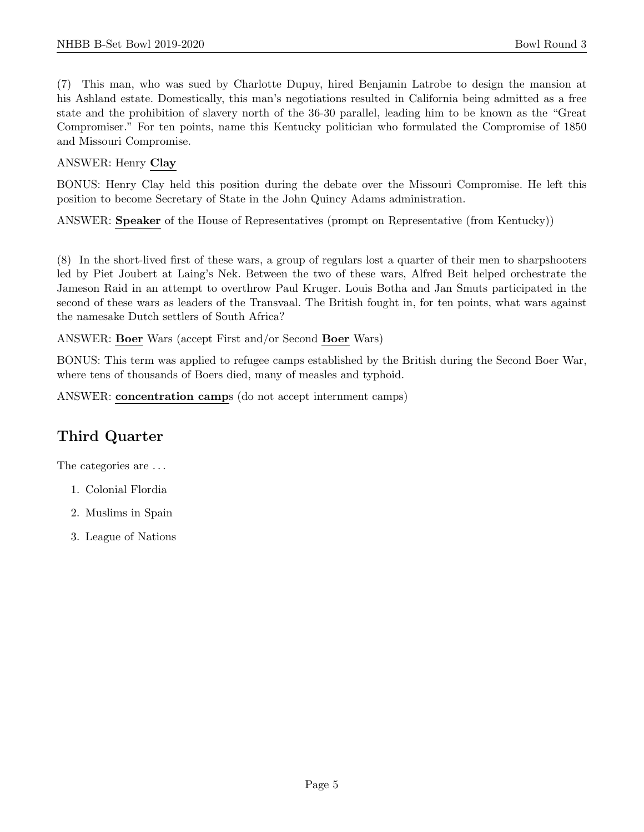(7) This man, who was sued by Charlotte Dupuy, hired Benjamin Latrobe to design the mansion at his Ashland estate. Domestically, this man's negotiations resulted in California being admitted as a free state and the prohibition of slavery north of the 36-30 parallel, leading him to be known as the "Great Compromiser." For ten points, name this Kentucky politician who formulated the Compromise of 1850 and Missouri Compromise.

# ANSWER: Henry Clay

BONUS: Henry Clay held this position during the debate over the Missouri Compromise. He left this position to become Secretary of State in the John Quincy Adams administration.

ANSWER: Speaker of the House of Representatives (prompt on Representative (from Kentucky))

(8) In the short-lived first of these wars, a group of regulars lost a quarter of their men to sharpshooters led by Piet Joubert at Laing's Nek. Between the two of these wars, Alfred Beit helped orchestrate the Jameson Raid in an attempt to overthrow Paul Kruger. Louis Botha and Jan Smuts participated in the second of these wars as leaders of the Transvaal. The British fought in, for ten points, what wars against the namesake Dutch settlers of South Africa?

ANSWER: Boer Wars (accept First and/or Second Boer Wars)

BONUS: This term was applied to refugee camps established by the British during the Second Boer War, where tens of thousands of Boers died, many of measles and typhoid.

ANSWER: concentration camps (do not accept internment camps)

# Third Quarter

The categories are  $\dots$ 

- 1. Colonial Flordia
- 2. Muslims in Spain
- 3. League of Nations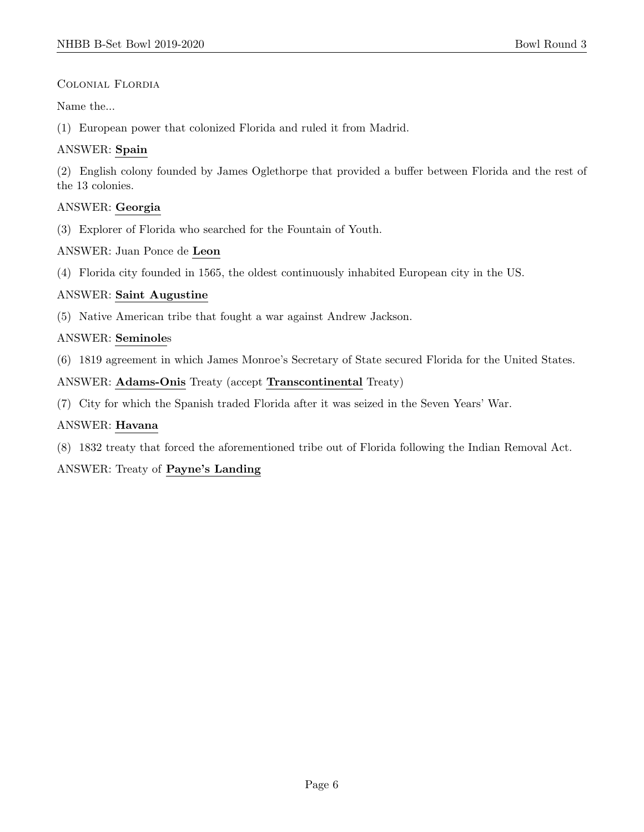# Colonial Flordia

Name the...

(1) European power that colonized Florida and ruled it from Madrid.

# ANSWER: Spain

(2) English colony founded by James Oglethorpe that provided a buffer between Florida and the rest of the 13 colonies.

# ANSWER: Georgia

(3) Explorer of Florida who searched for the Fountain of Youth.

ANSWER: Juan Ponce de Leon

(4) Florida city founded in 1565, the oldest continuously inhabited European city in the US.

# ANSWER: Saint Augustine

(5) Native American tribe that fought a war against Andrew Jackson.

# ANSWER: Seminoles

(6) 1819 agreement in which James Monroe's Secretary of State secured Florida for the United States.

ANSWER: Adams-Onis Treaty (accept Transcontinental Treaty)

(7) City for which the Spanish traded Florida after it was seized in the Seven Years' War.

# ANSWER: Havana

(8) 1832 treaty that forced the aforementioned tribe out of Florida following the Indian Removal Act.

# ANSWER: Treaty of Payne's Landing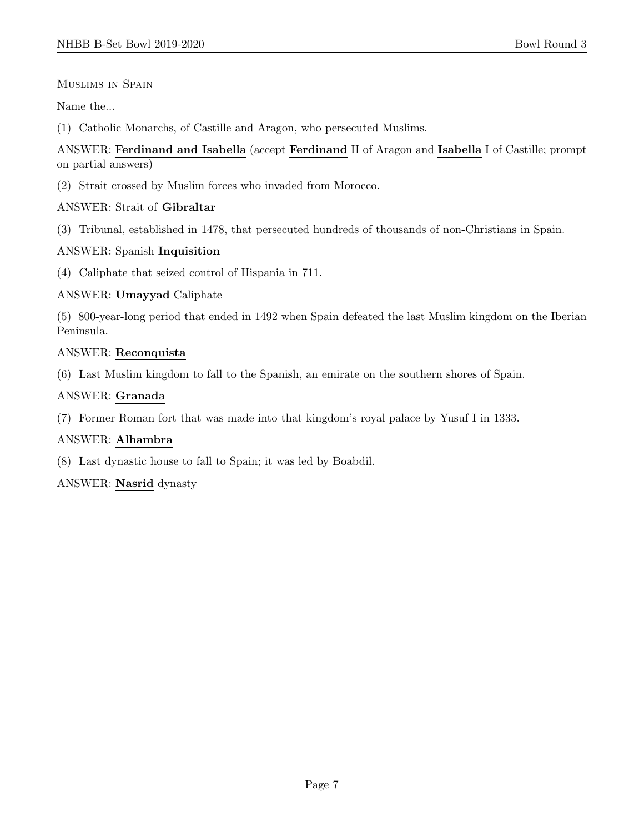Muslims in Spain

Name the...

(1) Catholic Monarchs, of Castille and Aragon, who persecuted Muslims.

# ANSWER: Ferdinand and Isabella (accept Ferdinand II of Aragon and Isabella I of Castille; prompt on partial answers)

(2) Strait crossed by Muslim forces who invaded from Morocco.

# ANSWER: Strait of Gibraltar

(3) Tribunal, established in 1478, that persecuted hundreds of thousands of non-Christians in Spain.

# ANSWER: Spanish Inquisition

(4) Caliphate that seized control of Hispania in 711.

# ANSWER: Umayyad Caliphate

(5) 800-year-long period that ended in 1492 when Spain defeated the last Muslim kingdom on the Iberian Peninsula.

# ANSWER: Reconquista

(6) Last Muslim kingdom to fall to the Spanish, an emirate on the southern shores of Spain.

# ANSWER: Granada

(7) Former Roman fort that was made into that kingdom's royal palace by Yusuf I in 1333.

# ANSWER: Alhambra

(8) Last dynastic house to fall to Spain; it was led by Boabdil.

ANSWER: Nasrid dynasty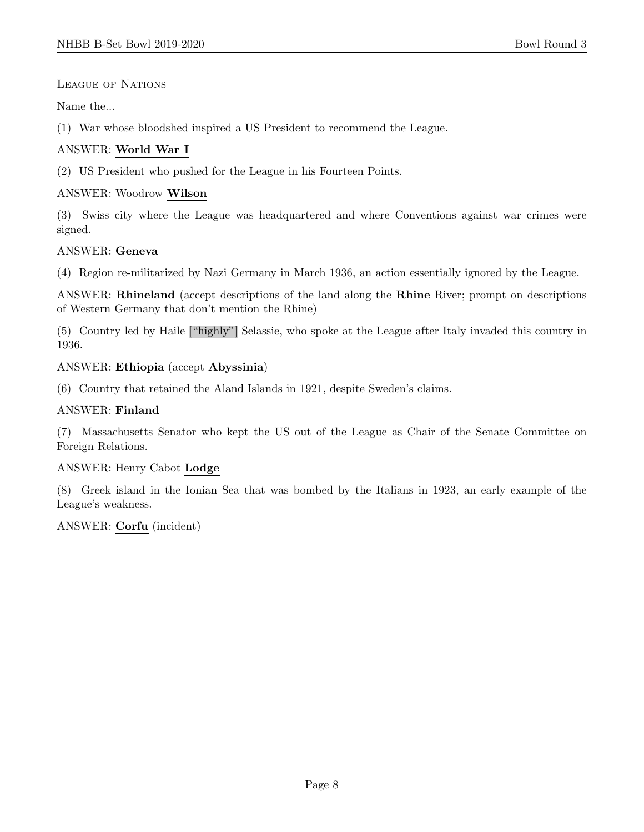LEAGUE OF NATIONS

Name the...

(1) War whose bloodshed inspired a US President to recommend the League.

# ANSWER: World War I

(2) US President who pushed for the League in his Fourteen Points.

# ANSWER: Woodrow Wilson

(3) Swiss city where the League was headquartered and where Conventions against war crimes were signed.

# ANSWER: Geneva

(4) Region re-militarized by Nazi Germany in March 1936, an action essentially ignored by the League.

ANSWER: Rhineland (accept descriptions of the land along the Rhine River; prompt on descriptions of Western Germany that don't mention the Rhine)

(5) Country led by Haile ["highly"] Selassie, who spoke at the League after Italy invaded this country in 1936.

# ANSWER: Ethiopia (accept Abyssinia)

(6) Country that retained the Aland Islands in 1921, despite Sweden's claims.

# ANSWER: Finland

(7) Massachusetts Senator who kept the US out of the League as Chair of the Senate Committee on Foreign Relations.

#### ANSWER: Henry Cabot Lodge

(8) Greek island in the Ionian Sea that was bombed by the Italians in 1923, an early example of the League's weakness.

# ANSWER: Corfu (incident)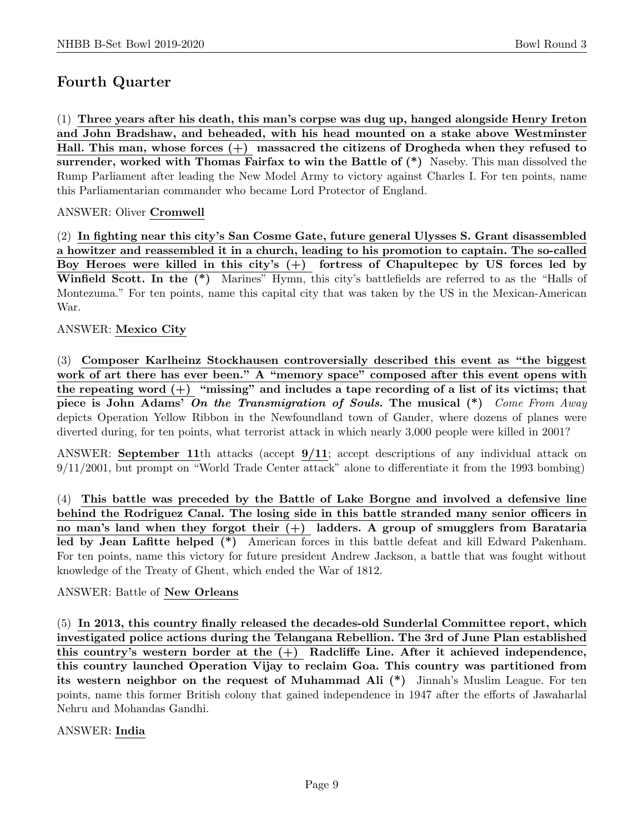# Fourth Quarter

(1) Three years after his death, this man's corpse was dug up, hanged alongside Henry Ireton and John Bradshaw, and beheaded, with his head mounted on a stake above Westminster Hall. This man, whose forces  $(+)$  massacred the citizens of Drogheda when they refused to surrender, worked with Thomas Fairfax to win the Battle of  $(*)$  Naseby. This man dissolved the Rump Parliament after leading the New Model Army to victory against Charles I. For ten points, name this Parliamentarian commander who became Lord Protector of England.

# ANSWER: Oliver Cromwell

(2) In fighting near this city's San Cosme Gate, future general Ulysses S. Grant disassembled a howitzer and reassembled it in a church, leading to his promotion to captain. The so-called Boy Heroes were killed in this city's (+) fortress of Chapultepec by US forces led by Winfield Scott. In the (\*) Marines" Hymn, this city's battlefields are referred to as the "Halls of Montezuma." For ten points, name this capital city that was taken by the US in the Mexican-American War.

#### ANSWER: Mexico City

(3) Composer Karlheinz Stockhausen controversially described this event as "the biggest work of art there has ever been." A "memory space" composed after this event opens with the repeating word  $(+)$  "missing" and includes a tape recording of a list of its victims; that piece is John Adams' On the Transmigration of Souls. The musical  $(*)$  Come From Away depicts Operation Yellow Ribbon in the Newfoundland town of Gander, where dozens of planes were diverted during, for ten points, what terrorist attack in which nearly 3,000 people were killed in 2001?

ANSWER: September 11th attacks (accept 9/11; accept descriptions of any individual attack on 9/11/2001, but prompt on "World Trade Center attack" alone to differentiate it from the 1993 bombing)

(4) This battle was preceded by the Battle of Lake Borgne and involved a defensive line behind the Rodriguez Canal. The losing side in this battle stranded many senior officers in no man's land when they forgot their  $(+)$  ladders. A group of smugglers from Barataria led by Jean Lafitte helped (\*) American forces in this battle defeat and kill Edward Pakenham. For ten points, name this victory for future president Andrew Jackson, a battle that was fought without knowledge of the Treaty of Ghent, which ended the War of 1812.

#### ANSWER: Battle of New Orleans

(5) In 2013, this country finally released the decades-old Sunderlal Committee report, which investigated police actions during the Telangana Rebellion. The 3rd of June Plan established this country's western border at the  $(+)$  Radcliffe Line. After it achieved independence, this country launched Operation Vijay to reclaim Goa. This country was partitioned from its western neighbor on the request of Muhammad Ali (\*) Jinnah's Muslim League. For ten points, name this former British colony that gained independence in 1947 after the efforts of Jawaharlal Nehru and Mohandas Gandhi.

#### ANSWER: India